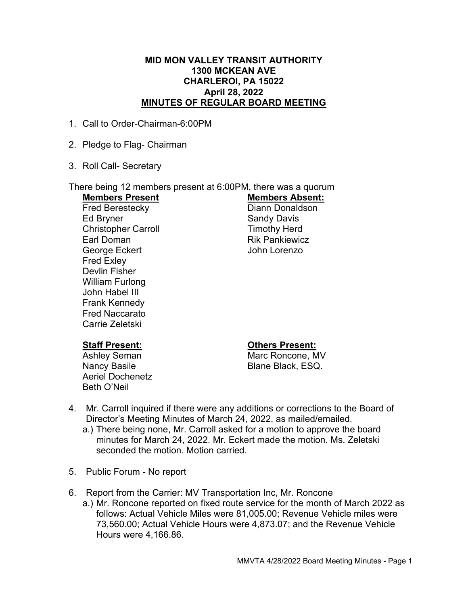#### MID MON VALLEY TRANSIT AUTHORITY 1300 MCKEAN AVE CHARLEROI, PA 15022 April 28, 2022 MINUTES OF REGULAR BOARD MEETING

- 1. Call to Order-Chairman-6:00PM
- 2. Pledge to Flag- Chairman
- 3. Roll Call- Secretary

# There being 12 members present at 6:00PM, there was a quorum

Fred Berestecky **Diann Donaldson** Ed Bryner Sandy Davis Christopher Carroll **Timothy Herd** Earl Doman **Rik Pankiewicz** George Eckert George Eckert John Lorenzo Fred Exley Devlin Fisher William Furlong John Habel III Frank Kennedy Fred Naccarato Carrie Zeletski

# Members Present Members Absent:

Aeriel Dochenetz Beth O'Neil

#### Staff Present: Others Present:

Ashley Seman Marc Roncone, MV Nancy Basile **Blane Black, ESQ.** 

- 4. Mr. Carroll inquired if there were any additions or corrections to the Board of Director's Meeting Minutes of March 24, 2022, as mailed/emailed.
	- a.) There being none, Mr. Carroll asked for a motion to approve the board minutes for March 24, 2022. Mr. Eckert made the motion. Ms. Zeletski seconded the motion. Motion carried.
- 5. Public Forum No report
- 6. Report from the Carrier: MV Transportation Inc, Mr. Roncone
	- a.) Mr. Roncone reported on fixed route service for the month of March 2022 as follows: Actual Vehicle Miles were 81,005.00; Revenue Vehicle miles were 73,560.00; Actual Vehicle Hours were 4,873.07; and the Revenue Vehicle Hours were 4,166.86.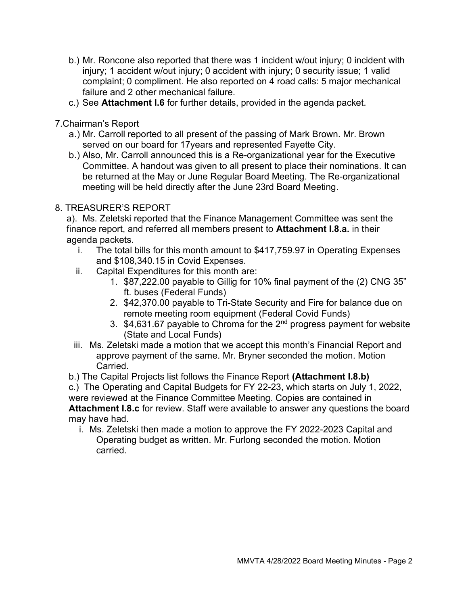- b.) Mr. Roncone also reported that there was 1 incident w/out injury; 0 incident with injury; 1 accident w/out injury; 0 accident with injury; 0 security issue; 1 valid complaint; 0 compliment. He also reported on 4 road calls: 5 major mechanical failure and 2 other mechanical failure.
- c.) See Attachment I.6 for further details, provided in the agenda packet.

7.Chairman's Report

- a.) Mr. Carroll reported to all present of the passing of Mark Brown. Mr. Brown served on our board for 17years and represented Fayette City.
- b.) Also, Mr. Carroll announced this is a Re-organizational year for the Executive Committee. A handout was given to all present to place their nominations. It can be returned at the May or June Regular Board Meeting. The Re-organizational meeting will be held directly after the June 23rd Board Meeting.

### 8. TREASURER'S REPORT

a). Ms. Zeletski reported that the Finance Management Committee was sent the finance report, and referred all members present to Attachment I.8.a. in their agenda packets.

- i. The total bills for this month amount to \$417,759.97 in Operating Expenses and \$108,340.15 in Covid Expenses.
- ii. Capital Expenditures for this month are:
	- 1. \$87,222.00 payable to Gillig for 10% final payment of the (2) CNG 35" ft. buses (Federal Funds)
	- 2. \$42,370.00 payable to Tri-State Security and Fire for balance due on remote meeting room equipment (Federal Covid Funds)
	- 3. \$4,631.67 payable to Chroma for the 2nd progress payment for website (State and Local Funds)
- iii. Ms. Zeletski made a motion that we accept this month's Financial Report and approve payment of the same. Mr. Bryner seconded the motion. Motion Carried.
- b.) The Capital Projects list follows the Finance Report (Attachment I.8.b)

c.) The Operating and Capital Budgets for FY 22-23, which starts on July 1, 2022, were reviewed at the Finance Committee Meeting. Copies are contained in Attachment I.8.c for review. Staff were available to answer any questions the board

may have had.

i. Ms. Zeletski then made a motion to approve the FY 2022-2023 Capital and Operating budget as written. Mr. Furlong seconded the motion. Motion carried.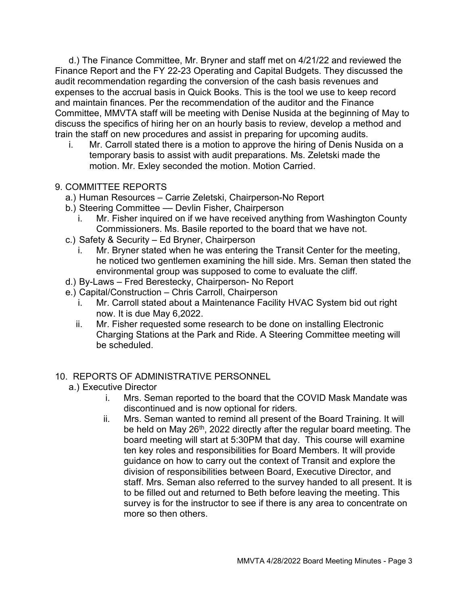d.) The Finance Committee, Mr. Bryner and staff met on 4/21/22 and reviewed the Finance Report and the FY 22-23 Operating and Capital Budgets. They discussed the audit recommendation regarding the conversion of the cash basis revenues and expenses to the accrual basis in Quick Books. This is the tool we use to keep record and maintain finances. Per the recommendation of the auditor and the Finance Committee, MMVTA staff will be meeting with Denise Nusida at the beginning of May to discuss the specifics of hiring her on an hourly basis to review, develop a method and train the staff on new procedures and assist in preparing for upcoming audits.

i. Mr. Carroll stated there is a motion to approve the hiring of Denis Nusida on a temporary basis to assist with audit preparations. Ms. Zeletski made the motion. Mr. Exley seconded the motion. Motion Carried.

### 9. COMMITTEE REPORTS

- a.) Human Resources Carrie Zeletski, Chairperson-No Report
- b.) Steering Committee Devlin Fisher, Chairperson
	- i. Mr. Fisher inquired on if we have received anything from Washington County Commissioners. Ms. Basile reported to the board that we have not.
- c.) Safety & Security Ed Bryner, Chairperson
	- i. Mr. Bryner stated when he was entering the Transit Center for the meeting, he noticed two gentlemen examining the hill side. Mrs. Seman then stated the environmental group was supposed to come to evaluate the cliff.
- d.) By-Laws Fred Berestecky, Chairperson- No Report
- e.) Capital/Construction Chris Carroll, Chairperson
	- i. Mr. Carroll stated about a Maintenance Facility HVAC System bid out right now. It is due May 6,2022.
	- ii. Mr. Fisher requested some research to be done on installing Electronic Charging Stations at the Park and Ride. A Steering Committee meeting will be scheduled.

#### 10. REPORTS OF ADMINISTRATIVE PERSONNEL

- a.) Executive Director
	- i. Mrs. Seman reported to the board that the COVID Mask Mandate was discontinued and is now optional for riders.
	- ii. Mrs. Seman wanted to remind all present of the Board Training. It will be held on May 26<sup>th</sup>, 2022 directly after the regular board meeting. The board meeting will start at 5:30PM that day. This course will examine ten key roles and responsibilities for Board Members. It will provide guidance on how to carry out the context of Transit and explore the division of responsibilities between Board, Executive Director, and staff. Mrs. Seman also referred to the survey handed to all present. It is to be filled out and returned to Beth before leaving the meeting. This survey is for the instructor to see if there is any area to concentrate on more so then others.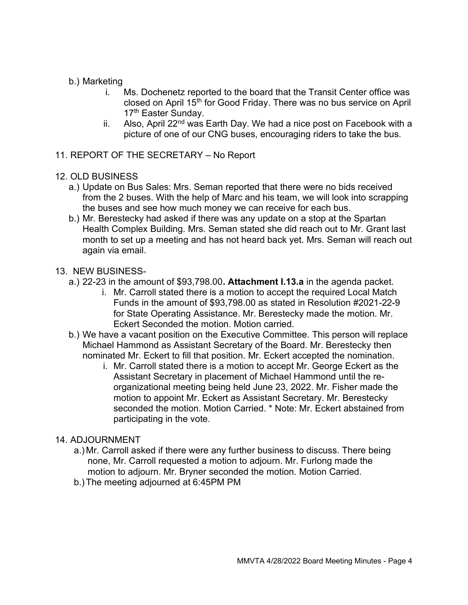## b.) Marketing

- i. Ms. Dochenetz reported to the board that the Transit Center office was closed on April 15<sup>th</sup> for Good Friday. There was no bus service on April 17<sup>th</sup> Easter Sunday.
- ii. Also, April  $22<sup>nd</sup>$  was Earth Day. We had a nice post on Facebook with a picture of one of our CNG buses, encouraging riders to take the bus.
- 11. REPORT OF THE SECRETARY No Report

### 12. OLD BUSINESS

- a.) Update on Bus Sales: Mrs. Seman reported that there were no bids received from the 2 buses. With the help of Marc and his team, we will look into scrapping the buses and see how much money we can receive for each bus.
- b.) Mr. Berestecky had asked if there was any update on a stop at the Spartan Health Complex Building. Mrs. Seman stated she did reach out to Mr. Grant last month to set up a meeting and has not heard back yet. Mrs. Seman will reach out again via email.

### 13. NEW BUSINESS-

- a.) 22-23 in the amount of \$93,798.00. Attachment I.13.a in the agenda packet.
	- i. Mr. Carroll stated there is a motion to accept the required Local Match Funds in the amount of \$93,798.00 as stated in Resolution #2021-22-9 for State Operating Assistance. Mr. Berestecky made the motion. Mr. Eckert Seconded the motion. Motion carried.
- b.) We have a vacant position on the Executive Committee. This person will replace Michael Hammond as Assistant Secretary of the Board. Mr. Berestecky then nominated Mr. Eckert to fill that position. Mr. Eckert accepted the nomination.
	- i. Mr. Carroll stated there is a motion to accept Mr. George Eckert as the Assistant Secretary in placement of Michael Hammond until the reorganizational meeting being held June 23, 2022. Mr. Fisher made the motion to appoint Mr. Eckert as Assistant Secretary. Mr. Berestecky seconded the motion. Motion Carried. \* Note: Mr. Eckert abstained from participating in the vote.

## 14. ADJOURNMENT

- a.) Mr. Carroll asked if there were any further business to discuss. There being none, Mr. Carroll requested a motion to adjourn. Mr. Furlong made the motion to adjourn. Mr. Bryner seconded the motion. Motion Carried.
- b.) The meeting adjourned at 6:45PM PM